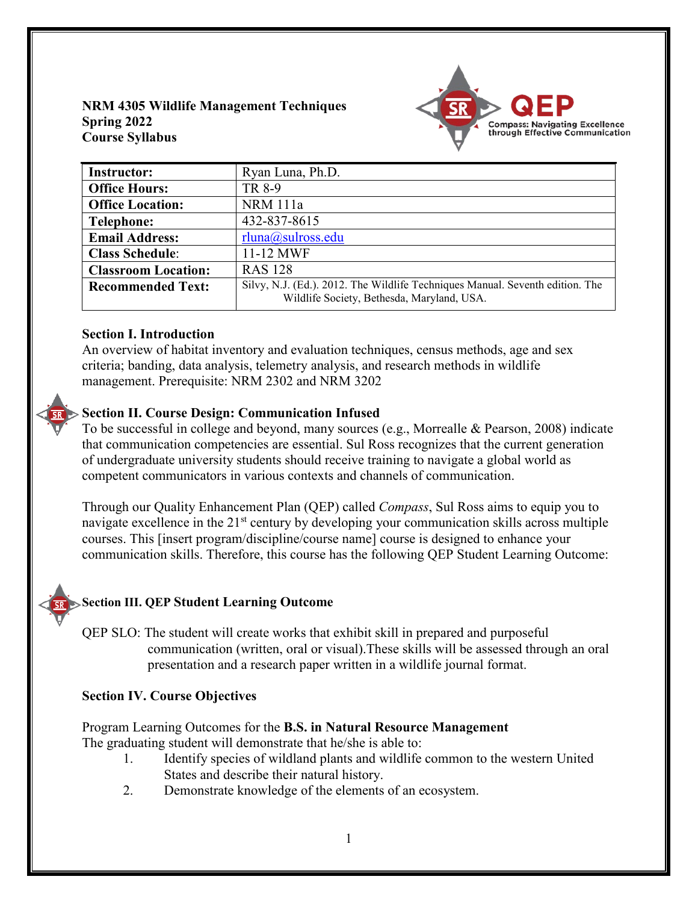## **NRM 4305 Wildlife Management Techniques Spring 2022 Course Syllabus**



| <b>Instructor:</b>         | Ryan Luna, Ph.D.                                                                                                            |
|----------------------------|-----------------------------------------------------------------------------------------------------------------------------|
| <b>Office Hours:</b>       | TR 8-9                                                                                                                      |
| <b>Office Location:</b>    | <b>NRM</b> 111a                                                                                                             |
| <b>Telephone:</b>          | 432-837-8615                                                                                                                |
| <b>Email Address:</b>      | rluna@sultoss.edu                                                                                                           |
| <b>Class Schedule:</b>     | 11-12 MWF                                                                                                                   |
| <b>Classroom Location:</b> | <b>RAS 128</b>                                                                                                              |
| <b>Recommended Text:</b>   | Silvy, N.J. (Ed.). 2012. The Wildlife Techniques Manual. Seventh edition. The<br>Wildlife Society, Bethesda, Maryland, USA. |

## **Section I. Introduction**

An overview of habitat inventory and evaluation techniques, census methods, age and sex criteria; banding, data analysis, telemetry analysis, and research methods in wildlife management. Prerequisite: NRM 2302 and NRM 3202

# **Section II. Course Design: Communication Infused**

To be successful in college and beyond, many sources (e.g., Morrealle & Pearson, 2008) indicate that communication competencies are essential. Sul Ross recognizes that the current generation of undergraduate university students should receive training to navigate a global world as competent communicators in various contexts and channels of communication.

Through our Quality Enhancement Plan (QEP) called *Compass*, Sul Ross aims to equip you to navigate excellence in the 21<sup>st</sup> century by developing your communication skills across multiple courses. This [insert program/discipline/course name] course is designed to enhance your communication skills. Therefore, this course has the following QEP Student Learning Outcome:

# **Section III. QEP Student Learning Outcome**

QEP SLO: The student will create works that exhibit skill in prepared and purposeful communication (written, oral or visual).These skills will be assessed through an oral presentation and a research paper written in a wildlife journal format.

## **Section IV. Course Objectives**

Program Learning Outcomes for the **B.S. in Natural Resource Management** The graduating student will demonstrate that he/she is able to:

- 1. Identify species of wildland plants and wildlife common to the western United States and describe their natural history.
- 2. Demonstrate knowledge of the elements of an ecosystem.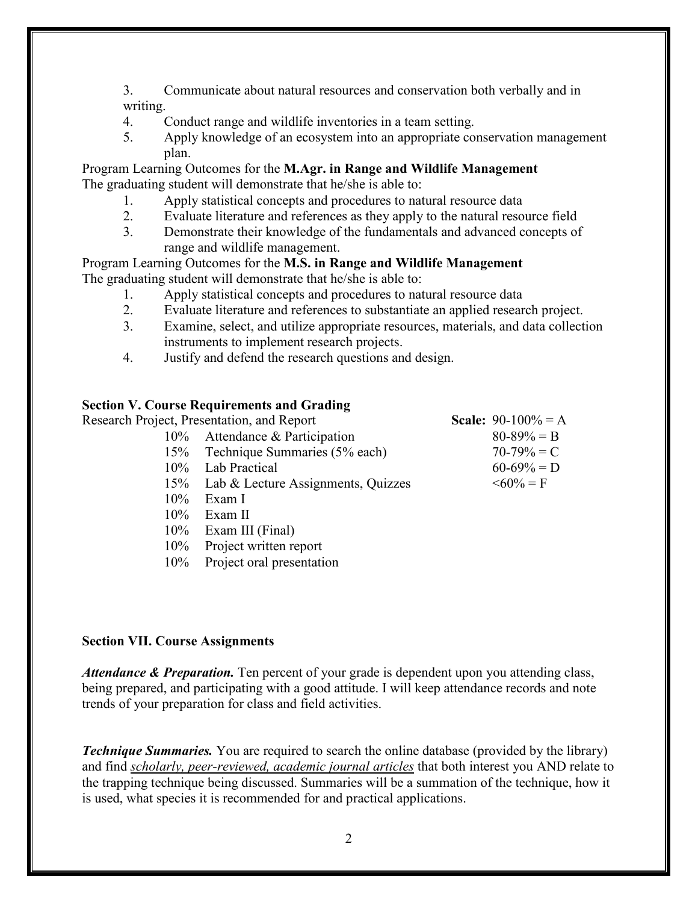3. Communicate about natural resources and conservation both verbally and in writing.

- 4. Conduct range and wildlife inventories in a team setting.
- 5. Apply knowledge of an ecosystem into an appropriate conservation management plan.

Program Learning Outcomes for the **M.Agr. in Range and Wildlife Management** The graduating student will demonstrate that he/she is able to:

- 1. Apply statistical concepts and procedures to natural resource data
- 2. Evaluate literature and references as they apply to the natural resource field
- 3. Demonstrate their knowledge of the fundamentals and advanced concepts of range and wildlife management.

Program Learning Outcomes for the **M.S. in Range and Wildlife Management** The graduating student will demonstrate that he/she is able to:

- 1. Apply statistical concepts and procedures to natural resource data
- 2. Evaluate literature and references to substantiate an applied research project.
- 3. Examine, select, and utilize appropriate resources, materials, and data collection instruments to implement research projects.
- 4. Justify and defend the research questions and design.

## **Section V. Course Requirements and Grading**

| Research Project, Presentation, and Report |                                        | <b>Scale:</b> 90-100% = A |
|--------------------------------------------|----------------------------------------|---------------------------|
| 10% Attendance & Participation             |                                        | $80 - 89\% = B$           |
|                                            | 15% Technique Summaries (5% each)      | $70-79\% = C$             |
| 10% Lab Practical                          |                                        | $60-69\% = D$             |
|                                            | 15% Lab & Lecture Assignments, Quizzes | $\leq 60\% = F$           |
| Exam I<br>$10\%$                           |                                        |                           |
| Exam II<br>$10\%$                          |                                        |                           |
| 10% Exam III (Final)                       |                                        |                           |

- 10% Project written report
- 10% Project oral presentation

#### **Section VII. Course Assignments**

*Attendance & Preparation.* Ten percent of your grade is dependent upon you attending class, being prepared, and participating with a good attitude. I will keep attendance records and note trends of your preparation for class and field activities.

*Technique Summaries.* You are required to search the online database (provided by the library) and find *scholarly, peer-reviewed, academic journal articles* that both interest you AND relate to the trapping technique being discussed. Summaries will be a summation of the technique, how it is used, what species it is recommended for and practical applications.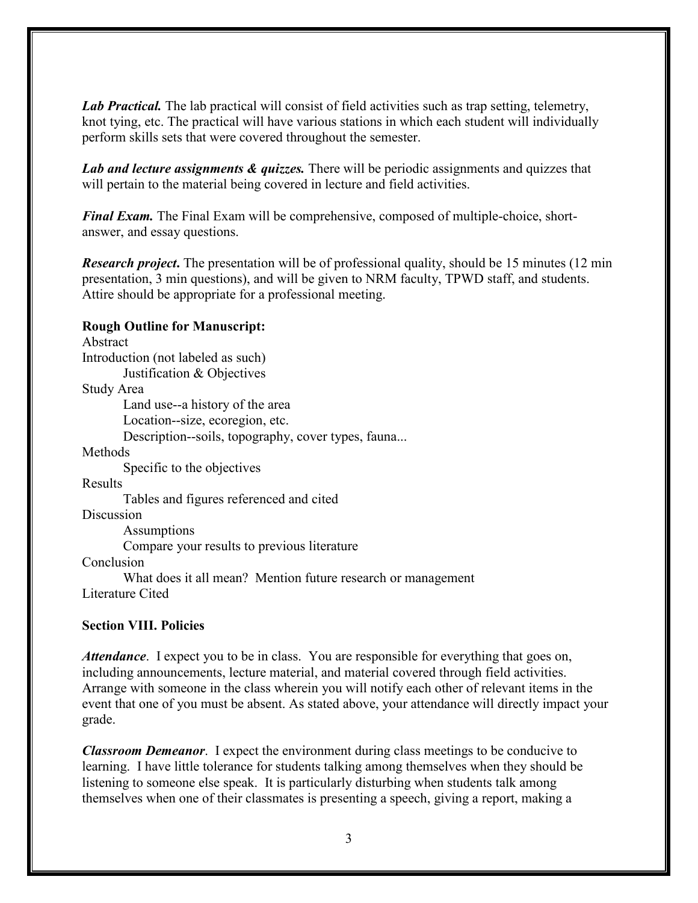*Lab Practical.* The lab practical will consist of field activities such as trap setting, telemetry, knot tying, etc. The practical will have various stations in which each student will individually perform skills sets that were covered throughout the semester.

*Lab and lecture assignments & quizzes.* There will be periodic assignments and quizzes that will pertain to the material being covered in lecture and field activities.

*Final Exam.* The Final Exam will be comprehensive, composed of multiple-choice, shortanswer, and essay questions.

*Research project***.** The presentation will be of professional quality, should be 15 minutes (12 min presentation, 3 min questions), and will be given to NRM faculty, TPWD staff, and students. Attire should be appropriate for a professional meeting.

## **Rough Outline for Manuscript:**

Abstract Introduction (not labeled as such) Justification & Objectives Study Area Land use--a history of the area Location--size, ecoregion, etc. Description--soils, topography, cover types, fauna... Methods Specific to the objectives Results Tables and figures referenced and cited Discussion Assumptions Compare your results to previous literature Conclusion What does it all mean? Mention future research or management

Literature Cited

## **Section VIII. Policies**

*Attendance*. I expect you to be in class. You are responsible for everything that goes on, including announcements, lecture material, and material covered through field activities. Arrange with someone in the class wherein you will notify each other of relevant items in the event that one of you must be absent. As stated above, your attendance will directly impact your grade.

*Classroom Demeanor*. I expect the environment during class meetings to be conducive to learning. I have little tolerance for students talking among themselves when they should be listening to someone else speak. It is particularly disturbing when students talk among themselves when one of their classmates is presenting a speech, giving a report, making a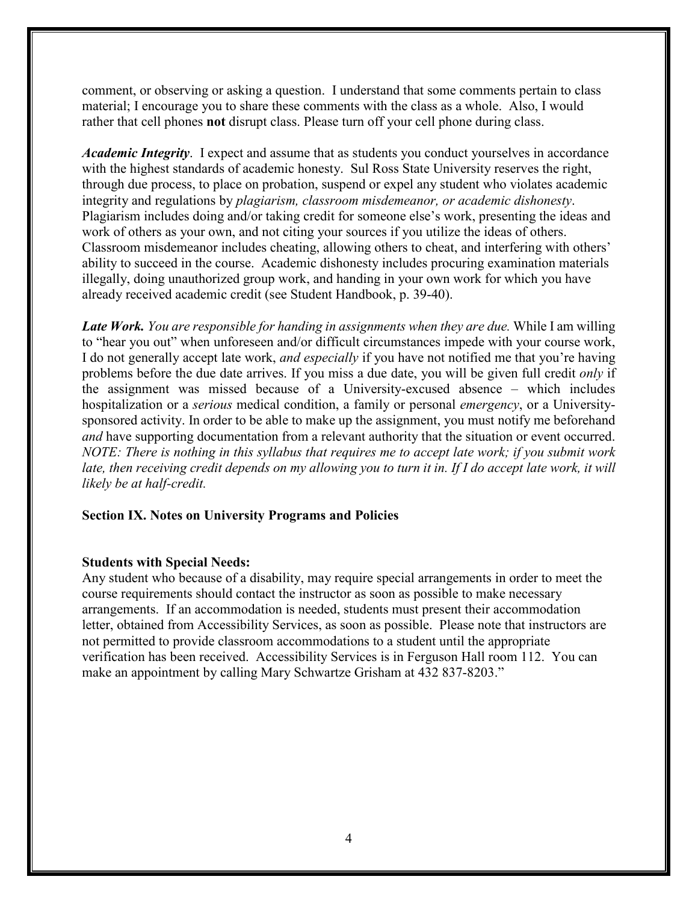comment, or observing or asking a question. I understand that some comments pertain to class material; I encourage you to share these comments with the class as a whole. Also, I would rather that cell phones **not** disrupt class. Please turn off your cell phone during class.

*Academic Integrity*. I expect and assume that as students you conduct yourselves in accordance with the highest standards of academic honesty. Sul Ross State University reserves the right, through due process, to place on probation, suspend or expel any student who violates academic integrity and regulations by *plagiarism, classroom misdemeanor, or academic dishonesty*. Plagiarism includes doing and/or taking credit for someone else's work, presenting the ideas and work of others as your own, and not citing your sources if you utilize the ideas of others. Classroom misdemeanor includes cheating, allowing others to cheat, and interfering with others' ability to succeed in the course. Academic dishonesty includes procuring examination materials illegally, doing unauthorized group work, and handing in your own work for which you have already received academic credit (see Student Handbook, p. 39-40).

*Late Work. You are responsible for handing in assignments when they are due.* While I am willing to "hear you out" when unforeseen and/or difficult circumstances impede with your course work, I do not generally accept late work, *and especially* if you have not notified me that you're having problems before the due date arrives. If you miss a due date, you will be given full credit *only* if the assignment was missed because of a University-excused absence – which includes hospitalization or a *serious* medical condition, a family or personal *emergency*, or a Universitysponsored activity. In order to be able to make up the assignment, you must notify me beforehand *and* have supporting documentation from a relevant authority that the situation or event occurred. *NOTE: There is nothing in this syllabus that requires me to accept late work; if you submit work*  late, then receiving credit depends on my allowing you to turn it in. If I do accept late work, it will *likely be at half-credit.*

#### **Section IX. Notes on University Programs and Policies**

#### **Students with Special Needs:**

Any student who because of a disability, may require special arrangements in order to meet the course requirements should contact the instructor as soon as possible to make necessary arrangements. If an accommodation is needed, students must present their accommodation letter, obtained from Accessibility Services, as soon as possible. Please note that instructors are not permitted to provide classroom accommodations to a student until the appropriate verification has been received. Accessibility Services is in Ferguson Hall room 112. You can make an appointment by calling Mary Schwartze Grisham at 432 837-8203."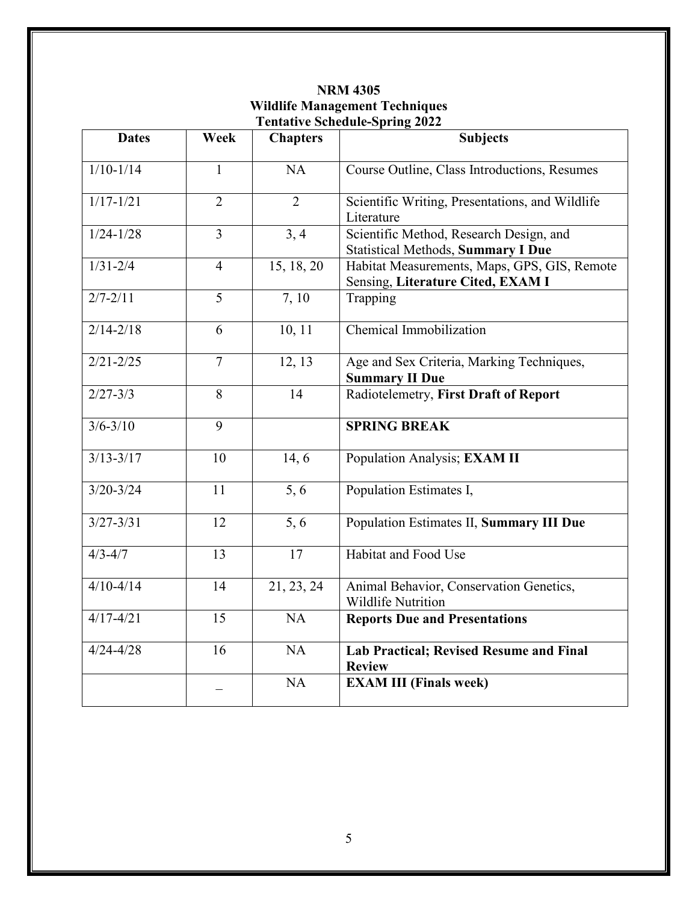| <b>Dates</b>             | Week           | <b>Chapters</b> | <b>Subjects</b>                                                                      |  |
|--------------------------|----------------|-----------------|--------------------------------------------------------------------------------------|--|
| $1/10-1/14$              | 1              | <b>NA</b>       | Course Outline, Class Introductions, Resumes                                         |  |
| $1/17 - 1/21$            | $\overline{2}$ | $\overline{2}$  | Scientific Writing, Presentations, and Wildlife<br>Literature                        |  |
| $1/24 - 1/28$            | $\overline{3}$ | 3, 4            | Scientific Method, Research Design, and<br><b>Statistical Methods, Summary I Due</b> |  |
| $1/31 - 2/4$             | $\overline{4}$ | 15, 18, 20      | Habitat Measurements, Maps, GPS, GIS, Remote<br>Sensing, Literature Cited, EXAM I    |  |
| $2/7 - 2/11$             | 5              | 7,10            | Trapping                                                                             |  |
| $\frac{2}{14-2/18}$      | $\overline{6}$ | 10, 11          | Chemical Immobilization                                                              |  |
| $2/21 - 2/25$            | $\overline{7}$ | 12, 13          | Age and Sex Criteria, Marking Techniques,<br><b>Summary II Due</b>                   |  |
| $2/27 - 3/3$             | 8              | 14              | Radiotelemetry, First Draft of Report                                                |  |
| $3/6 - 3/10$             | 9              |                 | <b>SPRING BREAK</b>                                                                  |  |
| $3/13 - 3/\overline{17}$ | 10             | 14, 6           | Population Analysis; EXAM II                                                         |  |
| $3/20 - 3/24$            | 11             | 5, 6            | Population Estimates I,                                                              |  |
| $3/27 - 3/31$            | 12             | 5, 6            | Population Estimates II, Summary III Due                                             |  |
| $4/3 - 4/7$              | 13             | 17              | Habitat and Food Use                                                                 |  |
| $4/10 - 4/14$            | 14             | 21, 23, 24      | Animal Behavior, Conservation Genetics,<br><b>Wildlife Nutrition</b>                 |  |
| $4/17 - 4/21$            | 15             | NA              | <b>Reports Due and Presentations</b>                                                 |  |
| $4/24 - 4/28$            | 16             | NA              | <b>Lab Practical; Revised Resume and Final</b><br><b>Review</b>                      |  |
|                          |                | NA              | <b>EXAM III (Finals week)</b>                                                        |  |

**NRM 4305 Wildlife Management Techniques Tentative Schedule-Spring 2022**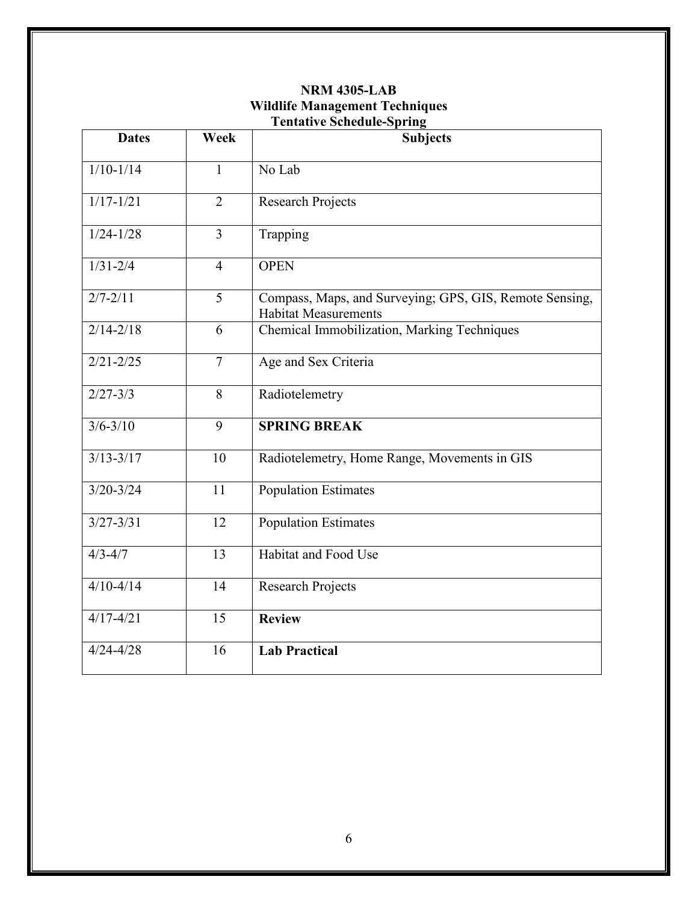# **NRM 4305-LAB Wildlife Management Techniques Tentative Schedule-Spring**

| <b>Dates</b>  | Week           | <b>Subjects</b>                                                                        |  |  |
|---------------|----------------|----------------------------------------------------------------------------------------|--|--|
| $1/10-1/14$   | $\mathbf{1}$   | No Lab                                                                                 |  |  |
| $1/17 - 1/21$ | $\overline{2}$ | <b>Research Projects</b>                                                               |  |  |
| $1/24 - 1/28$ | 3              | Trapping                                                                               |  |  |
| $1/31 - 2/4$  | $\overline{4}$ | <b>OPEN</b>                                                                            |  |  |
| $2/7 - 2/11$  | $\overline{5}$ | Compass, Maps, and Surveying; GPS, GIS, Remote Sensing,<br><b>Habitat Measurements</b> |  |  |
| $2/14 - 2/18$ | 6              | Chemical Immobilization, Marking Techniques                                            |  |  |
| $2/21 - 2/25$ | $\overline{7}$ | Age and Sex Criteria                                                                   |  |  |
| $2/27 - 3/3$  | 8              | Radiotelemetry                                                                         |  |  |
| $3/6 - 3/10$  | 9              | <b>SPRING BREAK</b>                                                                    |  |  |
| $3/13 - 3/17$ | 10             | Radiotelemetry, Home Range, Movements in GIS                                           |  |  |
| $3/20 - 3/24$ | 11             | <b>Population Estimates</b>                                                            |  |  |
| $3/27 - 3/31$ | 12             | Population Estimates                                                                   |  |  |
| $4/3 - 4/7$   | 13             | Habitat and Food Use                                                                   |  |  |
| $4/10 - 4/14$ | 14             | <b>Research Projects</b>                                                               |  |  |
| $4/17 - 4/21$ | 15             | <b>Review</b>                                                                          |  |  |
| $4/24 - 4/28$ | 16             | <b>Lab Practical</b>                                                                   |  |  |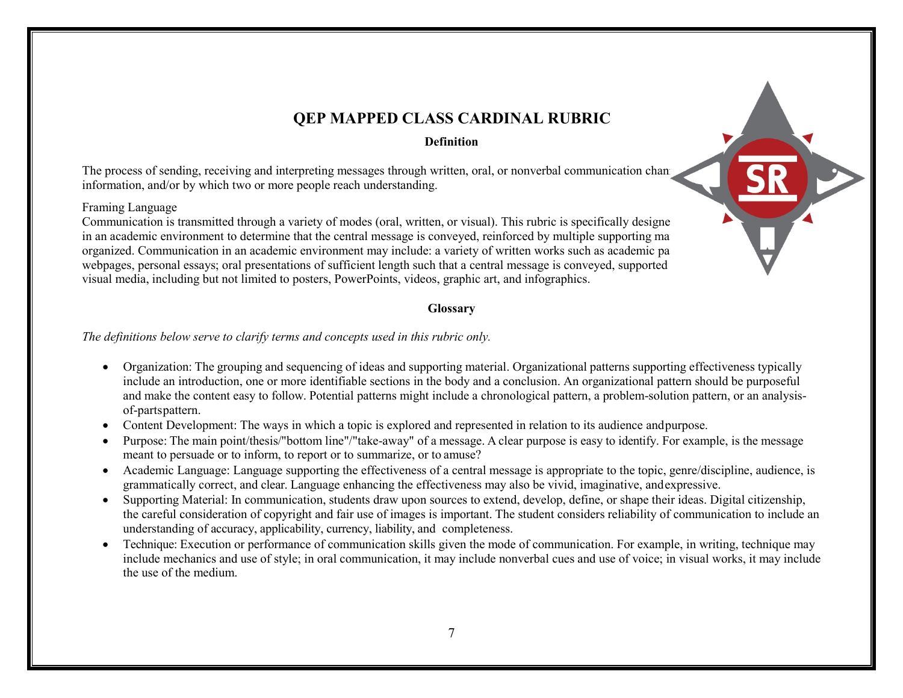

# **QEP MAPPED CLASS CARDINAL RUBRIC**

**Definition**

The process of sending, receiving and interpreting messages through written, oral, or nonverbal communication channels information, and/or by which two or more people reach understanding.

#### Framing Language

Communication is transmitted through a variety of modes (oral, written, or visual). This rubric is specifically designe in an academic environment to determine that the central message is conveyed, reinforced by multiple supporting ma organized. Communication in an academic environment may include: a variety of written works such as academic pa webpages, personal essays; oral presentations of sufficient length such that a central message is conveyed, supported visual media, including but not limited to posters, PowerPoints, videos, graphic art, and infographics.

## **Glossary**

*The definitions below serve to clarify terms and concepts used in this rubric only.*

- Organization: The grouping and sequencing of ideas and supporting material. Organizational patterns supporting effectiveness typically include an introduction, one or more identifiable sections in the body and a conclusion. An organizational pattern should be purposeful and make the content easy to follow. Potential patterns might include a chronological pattern, a problem-solution pattern, or an analysisof-partspattern.
- Content Development: The ways in which a topic is explored and represented in relation to its audience andpurpose.
- Purpose: The main point/thesis/"bottom line"/"take-away" of a message. A clear purpose is easy to identify. For example, is the message meant to persuade or to inform, to report or to summarize, or to amuse?
- Academic Language: Language supporting the effectiveness of a central message is appropriate to the topic, genre/discipline, audience, is grammatically correct, and clear. Language enhancing the effectiveness may also be vivid, imaginative, andexpressive.
- Supporting Material: In communication, students draw upon sources to extend, develop, define, or shape their ideas. Digital citizenship, the careful consideration of copyright and fair use of images is important. The student considers reliability of communication to include an understanding of accuracy, applicability, currency, liability, and completeness.
- Technique: Execution or performance of communication skills given the mode of communication. For example, in writing, technique may include mechanics and use of style; in oral communication, it may include nonverbal cues and use of voice; in visual works, it may include the use of the medium.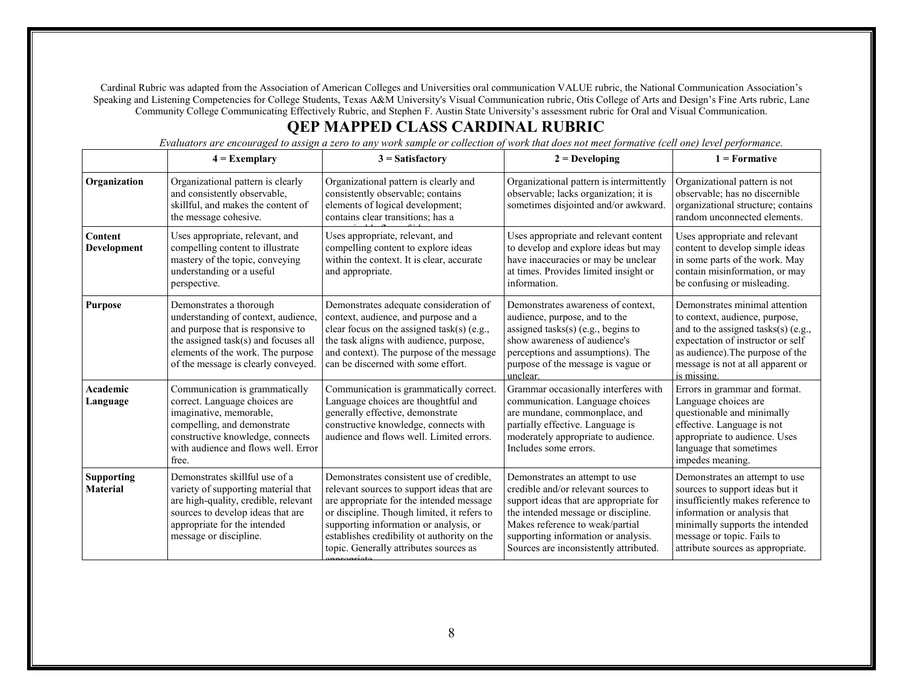Cardinal Rubric was adapted from the Association of American Colleges and Universities oral communication VALUE rubric, the National Communication Association's Speaking and Listening Competencies for College Students, Texas A&M University's Visual Communication rubric, Otis College of Arts and Design's Fine Arts rubric, Lane Community College Communicating Effectively Rubric, and Stephen F. Austin State University's assessment rubric for Oral and Visual Communication.

# **QEP MAPPED CLASS CARDINAL RUBRIC**

**4 = Exemplary 3 = Satisfactory 2 = Developing 1 = Formative Organization** | Organizational pattern is clearly and consistently observable, skillful, and makes the content of the message cohesive. Organizational pattern is clearly and consistently observable; contains elements of logical development; contains clear transitions; has a Uses appropriate, relevant, and Organizational pattern is intermittently observable; lacks organization; it is sometimes disjointed and/or awkward. Organizational pattern is not observable; has no discernible organizational structure; contains random unconnected elements. **Content Development** Uses appropriate, relevant, and compelling content to illustrate mastery of the topic, conveying understanding or a useful perspective. compelling content to explore ideas within the context. It is clear, accurate and appropriate. Uses appropriate and relevant content to develop and explore ideas but may have inaccuracies or may be unclear at times. Provides limited insight or information. Uses appropriate and relevant content to develop simple ideas in some parts of the work. May contain misinformation, or may be confusing or misleading. **Purpose** Demonstrates a thorough understanding of context, audience, and purpose that is responsive to the assigned task(s) and focuses all elements of the work. The purpose of the message is clearly conveyed. Demonstrates adequate consideration of context, audience, and purpose and a clear focus on the assigned task(s) (e.g., the task aligns with audience, purpose, and context). The purpose of the message can be discerned with some effort. Demonstrates awareness of context, audience, purpose, and to the assigned tasks(s) (e.g., begins to show awareness of audience's perceptions and assumptions). The purpose of the message is vague or unclear. Demonstrates minimal attention to context, audience, purpose, and to the assigned tasks(s) (e.g., expectation of instructor or self as audience).The purpose of the message is not at all apparent or is missing. **Academic Language** Communication is grammatically correct. Language choices are imaginative, memorable, compelling, and demonstrate constructive knowledge, connects with audience and flows well. Error free. Communication is grammatically correct. Language choices are thoughtful and generally effective, demonstrate constructive knowledge, connects with audience and flows well. Limited errors. Grammar occasionally interferes with communication. Language choices are mundane, commonplace, and partially effective. Language is moderately appropriate to audience. Includes some errors. Errors in grammar and format. Language choices are questionable and minimally effective. Language is not appropriate to audience. Uses language that sometimes impedes meaning. **Supporting Material** Demonstrates skillful use of a variety of supporting material that are high-quality, credible, relevant sources to develop ideas that are appropriate for the intended message or discipline. Demonstrates consistent use of credible, relevant sources to support ideas that are are appropriate for the intended message or discipline. Though limited, it refers to supporting information or analysis, or establishes credibility ot authority on the topic. Generally attributes sources as annanniata Demonstrates an attempt to use credible and/or relevant sources to support ideas that are appropriate for the intended message or discipline. Makes reference to weak/partial supporting information or analysis. Sources are inconsistently attributed. Demonstrates an attempt to use sources to support ideas but it insufficiently makes reference to information or analysis that minimally supports the intended message or topic. Fails to attribute sources as appropriate.

*Evaluators are encouraged to assign a zero to any work sample or collection of work that does not meet formative (cell one) level performance.*